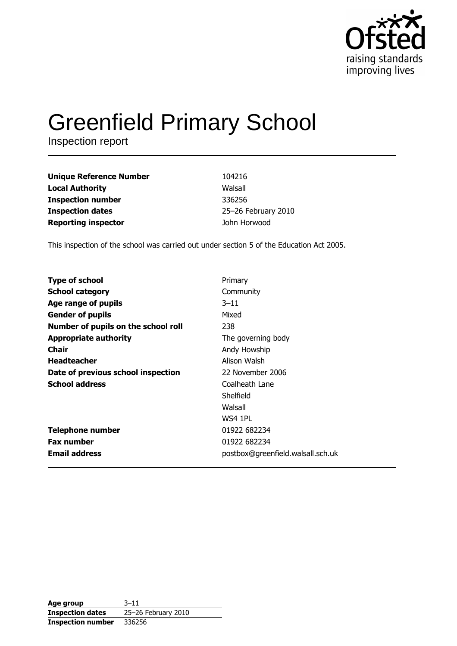

# **Greenfield Primary School**

Inspection report

| <b>Unique Reference Number</b> | 104216              |
|--------------------------------|---------------------|
| <b>Local Authority</b>         | Walsall             |
| <b>Inspection number</b>       | 336256              |
| <b>Inspection dates</b>        | 25-26 February 2010 |
| <b>Reporting inspector</b>     | John Horwood        |

This inspection of the school was carried out under section 5 of the Education Act 2005.

| <b>Type of school</b>               | Primary                           |
|-------------------------------------|-----------------------------------|
| <b>School category</b>              | Community                         |
| Age range of pupils                 | $3 - 11$                          |
| <b>Gender of pupils</b>             | Mixed                             |
| Number of pupils on the school roll | 238                               |
| <b>Appropriate authority</b>        | The governing body                |
| <b>Chair</b>                        | Andy Howship                      |
| <b>Headteacher</b>                  | Alison Walsh                      |
| Date of previous school inspection  | 22 November 2006                  |
| <b>School address</b>               | Coalheath Lane                    |
|                                     | Shelfield                         |
|                                     | Walsall                           |
|                                     | WS4 1PL                           |
| Telephone number                    | 01922 682234                      |
| <b>Fax number</b>                   | 01922 682234                      |
| <b>Email address</b>                | postbox@greenfield.walsall.sch.uk |

| Age group                | $3 - 11$            |
|--------------------------|---------------------|
| <b>Inspection dates</b>  | 25-26 February 2010 |
| <b>Inspection number</b> | 336256              |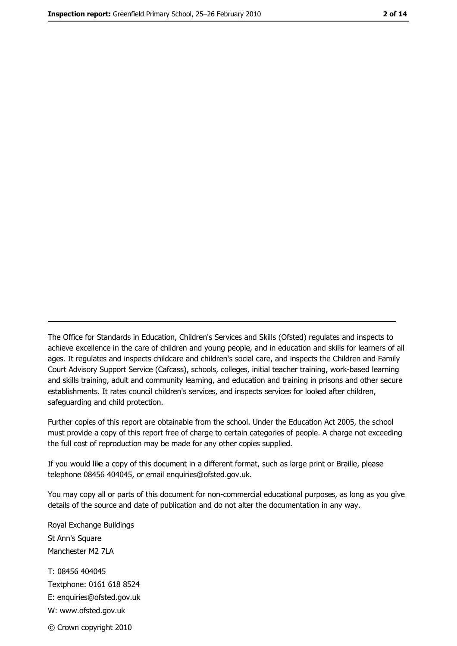The Office for Standards in Education, Children's Services and Skills (Ofsted) regulates and inspects to achieve excellence in the care of children and young people, and in education and skills for learners of all ages. It regulates and inspects childcare and children's social care, and inspects the Children and Family Court Advisory Support Service (Cafcass), schools, colleges, initial teacher training, work-based learning and skills training, adult and community learning, and education and training in prisons and other secure establishments. It rates council children's services, and inspects services for looked after children, safequarding and child protection.

Further copies of this report are obtainable from the school. Under the Education Act 2005, the school must provide a copy of this report free of charge to certain categories of people. A charge not exceeding the full cost of reproduction may be made for any other copies supplied.

If you would like a copy of this document in a different format, such as large print or Braille, please telephone 08456 404045, or email enquiries@ofsted.gov.uk.

You may copy all or parts of this document for non-commercial educational purposes, as long as you give details of the source and date of publication and do not alter the documentation in any way.

Royal Exchange Buildings St Ann's Square Manchester M2 7LA T: 08456 404045 Textphone: 0161 618 8524 E: enquiries@ofsted.gov.uk W: www.ofsted.gov.uk © Crown copyright 2010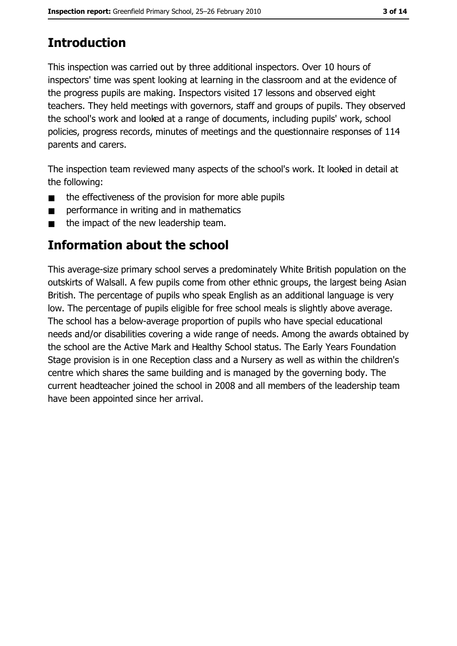# **Introduction**

This inspection was carried out by three additional inspectors. Over 10 hours of inspectors' time was spent looking at learning in the classroom and at the evidence of the progress pupils are making. Inspectors visited 17 lessons and observed eight teachers. They held meetings with governors, staff and groups of pupils. They observed the school's work and looked at a range of documents, including pupils' work, school policies, progress records, minutes of meetings and the questionnaire responses of 114 parents and carers.

The inspection team reviewed many aspects of the school's work. It looked in detail at the following:

- the effectiveness of the provision for more able pupils  $\blacksquare$
- performance in writing and in mathematics  $\blacksquare$
- the impact of the new leadership team.  $\blacksquare$

# Information about the school

This average-size primary school serves a predominately White British population on the outskirts of Walsall. A few pupils come from other ethnic groups, the largest being Asian British. The percentage of pupils who speak English as an additional language is very low. The percentage of pupils eligible for free school meals is slightly above average. The school has a below-average proportion of pupils who have special educational needs and/or disabilities covering a wide range of needs. Among the awards obtained by the school are the Active Mark and Healthy School status. The Early Years Foundation Stage provision is in one Reception class and a Nursery as well as within the children's centre which shares the same building and is managed by the governing body. The current headteacher joined the school in 2008 and all members of the leadership team have been appointed since her arrival.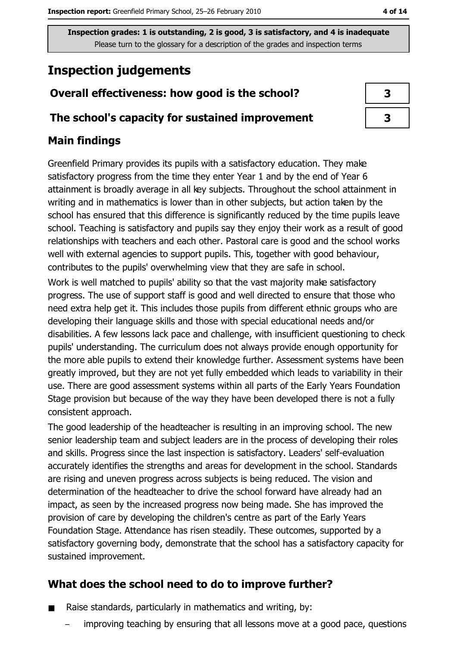# **Inspection judgements**

## Overall effectiveness: how good is the school?

## The school's capacity for sustained improvement

# **Main findings**

Greenfield Primary provides its pupils with a satisfactory education. They make satisfactory progress from the time they enter Year 1 and by the end of Year 6 attainment is broadly average in all key subjects. Throughout the school attainment in writing and in mathematics is lower than in other subjects, but action taken by the school has ensured that this difference is significantly reduced by the time pupils leave school. Teaching is satisfactory and pupils say they enjoy their work as a result of good relationships with teachers and each other. Pastoral care is good and the school works well with external agencies to support pupils. This, together with good behaviour, contributes to the pupils' overwhelming view that they are safe in school.

Work is well matched to pupils' ability so that the vast majority make satisfactory progress. The use of support staff is good and well directed to ensure that those who need extra help get it. This includes those pupils from different ethnic groups who are developing their language skills and those with special educational needs and/or disabilities. A few lessons lack pace and challenge, with insufficient questioning to check pupils' understanding. The curriculum does not always provide enough opportunity for the more able pupils to extend their knowledge further. Assessment systems have been greatly improved, but they are not yet fully embedded which leads to variability in their use. There are good assessment systems within all parts of the Early Years Foundation Stage provision but because of the way they have been developed there is not a fully consistent approach.

The good leadership of the headteacher is resulting in an improving school. The new senior leadership team and subject leaders are in the process of developing their roles and skills. Progress since the last inspection is satisfactory. Leaders' self-evaluation accurately identifies the strengths and areas for development in the school. Standards are rising and uneven progress across subjects is being reduced. The vision and determination of the headteacher to drive the school forward have already had an impact, as seen by the increased progress now being made. She has improved the provision of care by developing the children's centre as part of the Early Years Foundation Stage. Attendance has risen steadily. These outcomes, supported by a satisfactory governing body, demonstrate that the school has a satisfactory capacity for sustained improvement.

# What does the school need to do to improve further?

- Raise standards, particularly in mathematics and writing, by:  $\blacksquare$ 
	- improving teaching by ensuring that all lessons move at a good pace, questions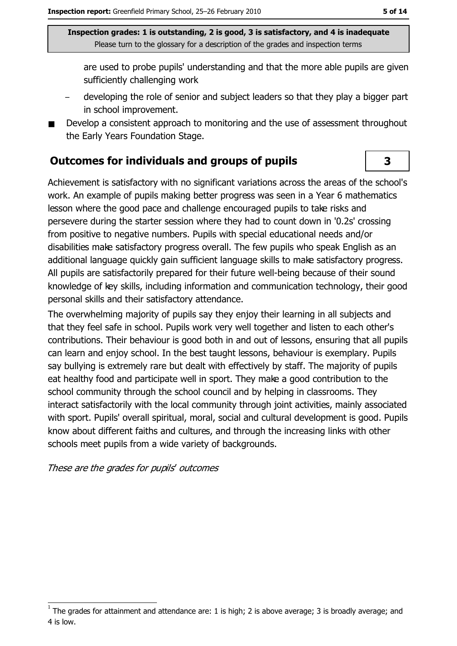are used to probe pupils' understanding and that the more able pupils are given sufficiently challenging work

- developing the role of senior and subject leaders so that they play a bigger part in school improvement.
- Develop a consistent approach to monitoring and the use of assessment throughout the Early Years Foundation Stage.

#### **Outcomes for individuals and groups of pupils**

Achievement is satisfactory with no significant variations across the areas of the school's work. An example of pupils making better progress was seen in a Year 6 mathematics lesson where the good pace and challenge encouraged pupils to take risks and persevere during the starter session where they had to count down in '0.2s' crossing from positive to negative numbers. Pupils with special educational needs and/or disabilities make satisfactory progress overall. The few pupils who speak English as an additional language quickly gain sufficient language skills to make satisfactory progress. All pupils are satisfactorily prepared for their future well-being because of their sound knowledge of key skills, including information and communication technology, their good personal skills and their satisfactory attendance.

The overwhelming majority of pupils say they enjoy their learning in all subjects and that they feel safe in school. Pupils work very well together and listen to each other's contributions. Their behaviour is good both in and out of lessons, ensuring that all pupils can learn and enjoy school. In the best taught lessons, behaviour is exemplary. Pupils say bullying is extremely rare but dealt with effectively by staff. The majority of pupils eat healthy food and participate well in sport. They make a good contribution to the school community through the school council and by helping in classrooms. They interact satisfactorily with the local community through joint activities, mainly associated with sport. Pupils' overall spiritual, moral, social and cultural development is good. Pupils know about different faiths and cultures, and through the increasing links with other schools meet pupils from a wide variety of backgrounds.

These are the grades for pupils' outcomes

3

The grades for attainment and attendance are: 1 is high; 2 is above average; 3 is broadly average; and 4 is low.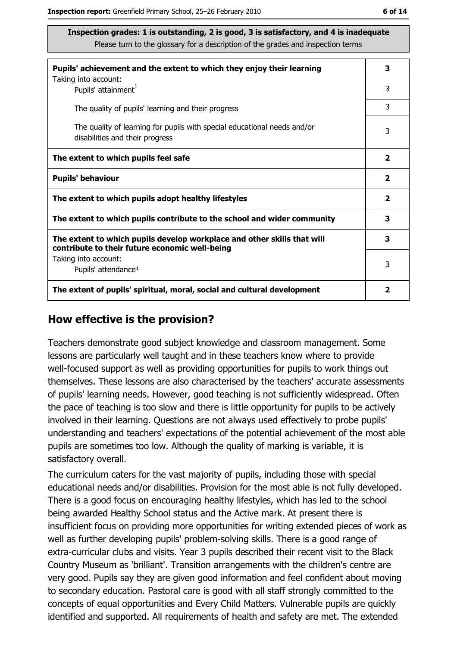| Pupils' achievement and the extent to which they enjoy their learning                                                     | 3                       |
|---------------------------------------------------------------------------------------------------------------------------|-------------------------|
| Taking into account:<br>Pupils' attainment <sup>1</sup>                                                                   | 3                       |
| The quality of pupils' learning and their progress                                                                        | 3                       |
| The quality of learning for pupils with special educational needs and/or<br>disabilities and their progress               | 3                       |
| The extent to which pupils feel safe                                                                                      | $\overline{\mathbf{2}}$ |
| <b>Pupils' behaviour</b>                                                                                                  | $\overline{2}$          |
| The extent to which pupils adopt healthy lifestyles                                                                       | $\mathbf{2}$            |
| The extent to which pupils contribute to the school and wider community                                                   | 3                       |
| The extent to which pupils develop workplace and other skills that will<br>contribute to their future economic well-being | 3                       |
| Taking into account:<br>Pupils' attendance <sup>1</sup>                                                                   | 3                       |
| The extent of pupils' spiritual, moral, social and cultural development                                                   | 2                       |

#### How effective is the provision?

Teachers demonstrate good subject knowledge and classroom management. Some lessons are particularly well taught and in these teachers know where to provide well-focused support as well as providing opportunities for pupils to work things out themselves. These lessons are also characterised by the teachers' accurate assessments of pupils' learning needs. However, good teaching is not sufficiently widespread. Often the pace of teaching is too slow and there is little opportunity for pupils to be actively involved in their learning. Questions are not always used effectively to probe pupils' understanding and teachers' expectations of the potential achievement of the most able pupils are sometimes too low. Although the quality of marking is variable, it is satisfactory overall.

The curriculum caters for the vast majority of pupils, including those with special educational needs and/or disabilities. Provision for the most able is not fully developed. There is a good focus on encouraging healthy lifestyles, which has led to the school being awarded Healthy School status and the Active mark. At present there is insufficient focus on providing more opportunities for writing extended pieces of work as well as further developing pupils' problem-solving skills. There is a good range of extra-curricular clubs and visits. Year 3 pupils described their recent visit to the Black Country Museum as 'brilliant'. Transition arrangements with the children's centre are very good. Pupils say they are given good information and feel confident about moving to secondary education. Pastoral care is good with all staff strongly committed to the concepts of equal opportunities and Every Child Matters. Vulnerable pupils are quickly identified and supported. All requirements of health and safety are met. The extended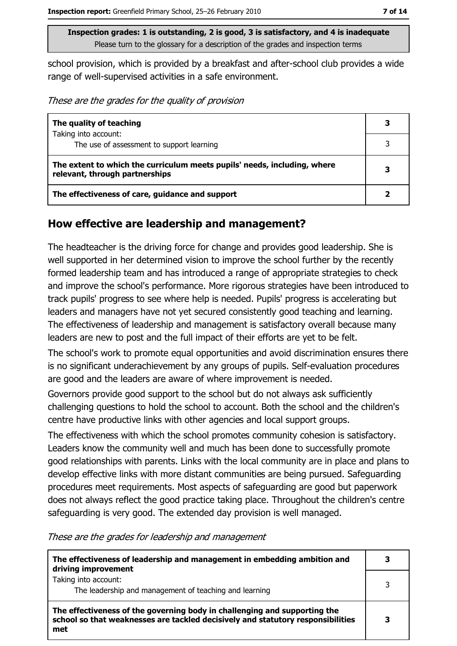school provision, which is provided by a breakfast and after-school club provides a wide range of well-supervised activities in a safe environment.

These are the grades for the quality of provision

| The quality of teaching                                                                                    | 3 |
|------------------------------------------------------------------------------------------------------------|---|
| Taking into account:                                                                                       |   |
| The use of assessment to support learning                                                                  |   |
| The extent to which the curriculum meets pupils' needs, including, where<br>relevant, through partnerships | 3 |
| The effectiveness of care, guidance and support                                                            |   |

## How effective are leadership and management?

The headteacher is the driving force for change and provides good leadership. She is well supported in her determined vision to improve the school further by the recently formed leadership team and has introduced a range of appropriate strategies to check and improve the school's performance. More rigorous strategies have been introduced to track pupils' progress to see where help is needed. Pupils' progress is accelerating but leaders and managers have not yet secured consistently good teaching and learning. The effectiveness of leadership and management is satisfactory overall because many leaders are new to post and the full impact of their efforts are yet to be felt.

The school's work to promote equal opportunities and avoid discrimination ensures there is no significant underachievement by any groups of pupils. Self-evaluation procedures are good and the leaders are aware of where improvement is needed.

Governors provide good support to the school but do not always ask sufficiently challenging questions to hold the school to account. Both the school and the children's centre have productive links with other agencies and local support groups.

The effectiveness with which the school promotes community cohesion is satisfactory. Leaders know the community well and much has been done to successfully promote good relationships with parents. Links with the local community are in place and plans to develop effective links with more distant communities are being pursued. Safeguarding procedures meet requirements. Most aspects of safeguarding are good but paperwork does not always reflect the good practice taking place. Throughout the children's centre safeguarding is very good. The extended day provision is well managed.

These are the grades for leadership and management

| The effectiveness of leadership and management in embedding ambition and<br>driving improvement                                                                     |   |
|---------------------------------------------------------------------------------------------------------------------------------------------------------------------|---|
| Taking into account:<br>The leadership and management of teaching and learning                                                                                      | 3 |
| The effectiveness of the governing body in challenging and supporting the<br>school so that weaknesses are tackled decisively and statutory responsibilities<br>met |   |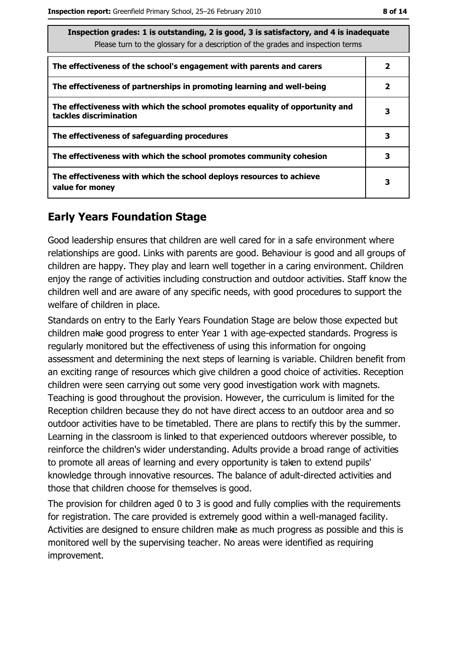| Inspection grades: 1 is outstanding, 2 is good, 3 is satisfactory, and 4 is inadequate<br>Please turn to the glossary for a description of the grades and inspection terms |   |  |
|----------------------------------------------------------------------------------------------------------------------------------------------------------------------------|---|--|
| The effectiveness of the school's engagement with parents and carers                                                                                                       | 2 |  |
| The effectiveness of partnerships in promoting learning and well-being                                                                                                     | 2 |  |
| The effectiveness with which the school promotes equality of opportunity and<br>tackles discrimination                                                                     | 3 |  |
| The effectiveness of safeguarding procedures                                                                                                                               | 3 |  |
| The effectiveness with which the school promotes community cohesion                                                                                                        | 3 |  |
| The effectiveness with which the school deploys resources to achieve<br>value for money                                                                                    | 3 |  |

## **Early Years Foundation Stage**

Good leadership ensures that children are well cared for in a safe environment where relationships are good. Links with parents are good. Behaviour is good and all groups of children are happy. They play and learn well together in a caring environment. Children enjoy the range of activities including construction and outdoor activities. Staff know the children well and are aware of any specific needs, with good procedures to support the welfare of children in place.

Standards on entry to the Early Years Foundation Stage are below those expected but children make good progress to enter Year 1 with age-expected standards. Progress is regularly monitored but the effectiveness of using this information for ongoing assessment and determining the next steps of learning is variable. Children benefit from an exciting range of resources which give children a good choice of activities. Reception children were seen carrying out some very good investigation work with magnets. Teaching is good throughout the provision. However, the curriculum is limited for the Reception children because they do not have direct access to an outdoor area and so outdoor activities have to be timetabled. There are plans to rectify this by the summer. Learning in the classroom is linked to that experienced outdoors wherever possible, to reinforce the children's wider understanding. Adults provide a broad range of activities to promote all areas of learning and every opportunity is taken to extend pupils' knowledge through innovative resources. The balance of adult-directed activities and those that children choose for themselves is good.

The provision for children aged 0 to 3 is good and fully complies with the requirements for registration. The care provided is extremely good within a well-managed facility. Activities are designed to ensure children make as much progress as possible and this is monitored well by the supervising teacher. No areas were identified as requiring improvement.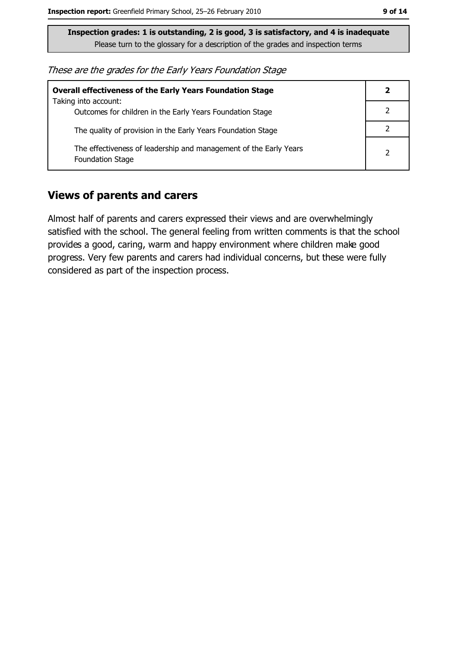These are the grades for the Early Years Foundation Stage

| <b>Overall effectiveness of the Early Years Foundation Stage</b>                             | 2 |
|----------------------------------------------------------------------------------------------|---|
| Taking into account:<br>Outcomes for children in the Early Years Foundation Stage            |   |
| The quality of provision in the Early Years Foundation Stage                                 |   |
| The effectiveness of leadership and management of the Early Years<br><b>Foundation Stage</b> |   |

#### **Views of parents and carers**

Almost half of parents and carers expressed their views and are overwhelmingly satisfied with the school. The general feeling from written comments is that the school provides a good, caring, warm and happy environment where children make good progress. Very few parents and carers had individual concerns, but these were fully considered as part of the inspection process.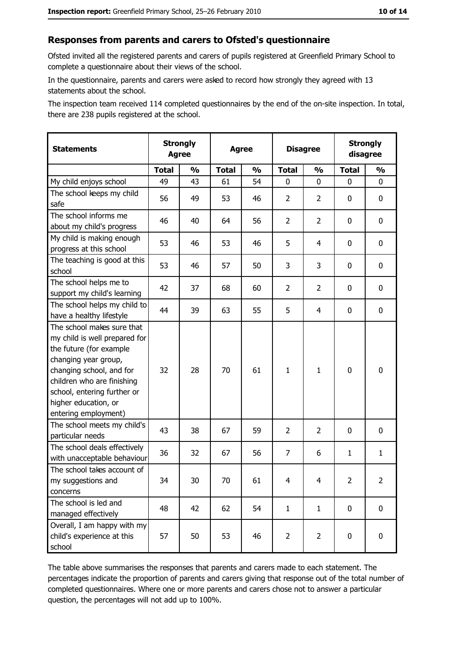#### Responses from parents and carers to Ofsted's questionnaire

Ofsted invited all the registered parents and carers of pupils registered at Greenfield Primary School to complete a questionnaire about their views of the school.

In the questionnaire, parents and carers were asked to record how strongly they agreed with 13 statements about the school.

The inspection team received 114 completed questionnaires by the end of the on-site inspection. In total, there are 238 pupils registered at the school.

| <b>Statements</b>                                                                                                                                                                                                                                       | <b>Strongly</b><br><b>Agree</b> |               | <b>Agree</b> |               | <b>Disagree</b> |                | <b>Strongly</b><br>disagree |                |
|---------------------------------------------------------------------------------------------------------------------------------------------------------------------------------------------------------------------------------------------------------|---------------------------------|---------------|--------------|---------------|-----------------|----------------|-----------------------------|----------------|
|                                                                                                                                                                                                                                                         | <b>Total</b>                    | $\frac{1}{2}$ | <b>Total</b> | $\frac{1}{2}$ | <b>Total</b>    | $\frac{0}{0}$  | <b>Total</b>                | $\frac{1}{2}$  |
| My child enjoys school                                                                                                                                                                                                                                  | 49                              | 43            | 61           | 54            | 0               | 0              | $\Omega$                    | 0              |
| The school keeps my child<br>safe                                                                                                                                                                                                                       | 56                              | 49            | 53           | 46            | $\overline{2}$  | 2              | 0                           | 0              |
| The school informs me<br>about my child's progress                                                                                                                                                                                                      | 46                              | 40            | 64           | 56            | $\overline{2}$  | $\overline{2}$ | 0                           | $\mathbf 0$    |
| My child is making enough<br>progress at this school                                                                                                                                                                                                    | 53                              | 46            | 53           | 46            | 5               | 4              | 0                           | 0              |
| The teaching is good at this<br>school                                                                                                                                                                                                                  | 53                              | 46            | 57           | 50            | 3               | 3              | 0                           | 0              |
| The school helps me to<br>support my child's learning                                                                                                                                                                                                   | 42                              | 37            | 68           | 60            | $\overline{2}$  | $\overline{2}$ | 0                           | 0              |
| The school helps my child to<br>have a healthy lifestyle                                                                                                                                                                                                | 44                              | 39            | 63           | 55            | 5               | 4              | 0                           | 0              |
| The school makes sure that<br>my child is well prepared for<br>the future (for example<br>changing year group,<br>changing school, and for<br>children who are finishing<br>school, entering further or<br>higher education, or<br>entering employment) | 32                              | 28            | 70           | 61            | 1               | 1              | $\mathbf 0$                 | 0              |
| The school meets my child's<br>particular needs                                                                                                                                                                                                         | 43                              | 38            | 67           | 59            | $\overline{2}$  | 2              | 0                           | 0              |
| The school deals effectively<br>with unacceptable behaviour                                                                                                                                                                                             | 36                              | 32            | 67           | 56            | $\overline{7}$  | 6              | 1                           | $\mathbf{1}$   |
| The school takes account of<br>my suggestions and<br>concerns                                                                                                                                                                                           | 34                              | 30            | 70           | 61            | $\overline{4}$  | 4              | $\overline{2}$              | $\overline{2}$ |
| The school is led and<br>managed effectively                                                                                                                                                                                                            | 48                              | 42            | 62           | 54            | $\mathbf{1}$    | $\mathbf{1}$   | $\bf{0}$                    | $\mathbf 0$    |
| Overall, I am happy with my<br>child's experience at this<br>school                                                                                                                                                                                     | 57                              | 50            | 53           | 46            | $\overline{2}$  | $\overline{2}$ | $\mathbf 0$                 | $\mathbf 0$    |

The table above summarises the responses that parents and carers made to each statement. The percentages indicate the proportion of parents and carers giving that response out of the total number of completed questionnaires. Where one or more parents and carers chose not to answer a particular question, the percentages will not add up to 100%.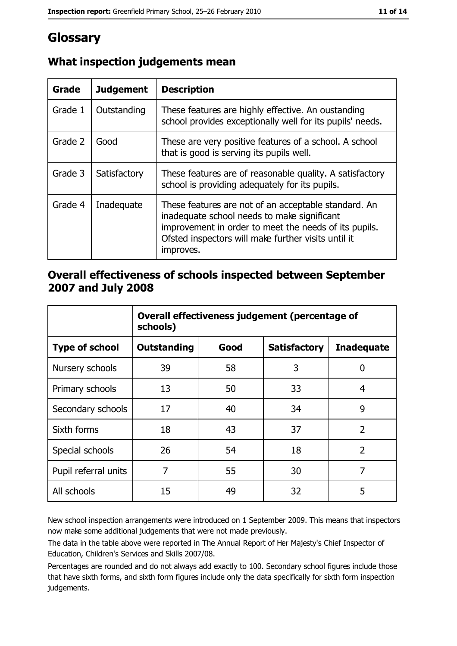# Glossary

| Grade   | <b>Judgement</b> | <b>Description</b>                                                                                                                                                                                                               |
|---------|------------------|----------------------------------------------------------------------------------------------------------------------------------------------------------------------------------------------------------------------------------|
| Grade 1 | Outstanding      | These features are highly effective. An oustanding<br>school provides exceptionally well for its pupils' needs.                                                                                                                  |
| Grade 2 | Good             | These are very positive features of a school. A school<br>that is good is serving its pupils well.                                                                                                                               |
| Grade 3 | Satisfactory     | These features are of reasonable quality. A satisfactory<br>school is providing adequately for its pupils.                                                                                                                       |
| Grade 4 | Inadequate       | These features are not of an acceptable standard. An<br>inadequate school needs to make significant<br>improvement in order to meet the needs of its pupils.<br>Ofsted inspectors will make further visits until it<br>improves. |

# What inspection judgements mean

## Overall effectiveness of schools inspected between September 2007 and July 2008

|                       | Overall effectiveness judgement (percentage of<br>schools) |      |                     |                   |
|-----------------------|------------------------------------------------------------|------|---------------------|-------------------|
| <b>Type of school</b> | <b>Outstanding</b>                                         | Good | <b>Satisfactory</b> | <b>Inadequate</b> |
| Nursery schools       | 39                                                         | 58   | 3                   | 0                 |
| Primary schools       | 13                                                         | 50   | 33                  | 4                 |
| Secondary schools     | 17                                                         | 40   | 34                  | 9                 |
| Sixth forms           | 18                                                         | 43   | 37                  | $\overline{2}$    |
| Special schools       | 26                                                         | 54   | 18                  | $\overline{2}$    |
| Pupil referral units  | 7                                                          | 55   | 30                  | 7                 |
| All schools           | 15                                                         | 49   | 32                  | 5                 |

New school inspection arrangements were introduced on 1 September 2009. This means that inspectors now make some additional judgements that were not made previously.

The data in the table above were reported in The Annual Report of Her Majesty's Chief Inspector of Education, Children's Services and Skills 2007/08.

Percentages are rounded and do not always add exactly to 100. Secondary school figures include those that have sixth forms, and sixth form figures include only the data specifically for sixth form inspection judgements.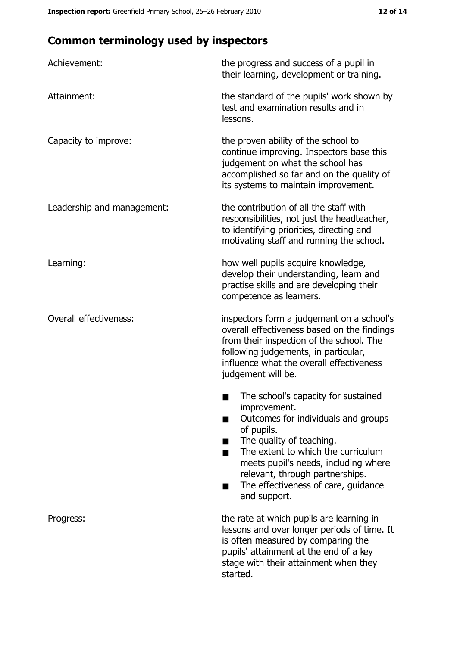# **Common terminology used by inspectors**

| Achievement:                  | the progress and success of a pupil in<br>their learning, development or training.                                                                                                                                                                                                                                |
|-------------------------------|-------------------------------------------------------------------------------------------------------------------------------------------------------------------------------------------------------------------------------------------------------------------------------------------------------------------|
| Attainment:                   | the standard of the pupils' work shown by<br>test and examination results and in<br>lessons.                                                                                                                                                                                                                      |
| Capacity to improve:          | the proven ability of the school to<br>continue improving. Inspectors base this<br>judgement on what the school has<br>accomplished so far and on the quality of<br>its systems to maintain improvement.                                                                                                          |
| Leadership and management:    | the contribution of all the staff with<br>responsibilities, not just the headteacher,<br>to identifying priorities, directing and<br>motivating staff and running the school.                                                                                                                                     |
| Learning:                     | how well pupils acquire knowledge,<br>develop their understanding, learn and<br>practise skills and are developing their<br>competence as learners.                                                                                                                                                               |
| <b>Overall effectiveness:</b> | inspectors form a judgement on a school's<br>overall effectiveness based on the findings<br>from their inspection of the school. The<br>following judgements, in particular,<br>influence what the overall effectiveness<br>judgement will be.                                                                    |
|                               | The school's capacity for sustained<br>improvement.<br>Outcomes for individuals and groups<br>of pupils.<br>The quality of teaching.<br>The extent to which the curriculum<br>meets pupil's needs, including where<br>relevant, through partnerships.<br>The effectiveness of care, guidance<br>▄<br>and support. |
| Progress:                     | the rate at which pupils are learning in<br>lessons and over longer periods of time. It<br>is often measured by comparing the<br>pupils' attainment at the end of a key<br>stage with their attainment when they<br>started.                                                                                      |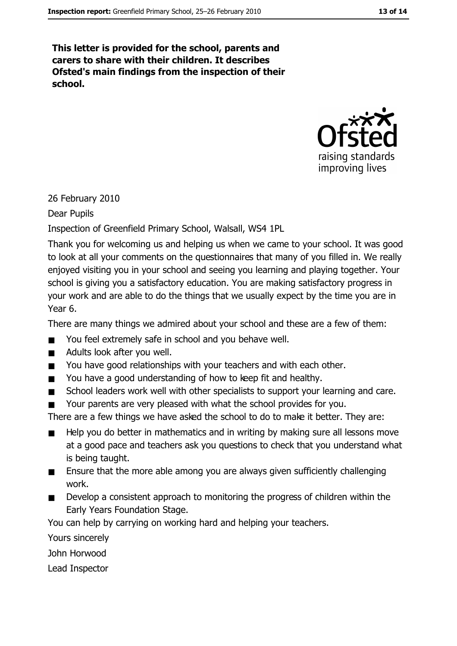This letter is provided for the school, parents and carers to share with their children. It describes Ofsted's main findings from the inspection of their school.



26 February 2010

Dear Pupils

Inspection of Greenfield Primary School, Walsall, WS4 1PL

Thank you for welcoming us and helping us when we came to your school. It was good to look at all your comments on the questionnaires that many of you filled in. We really enjoyed visiting you in your school and seeing you learning and playing together. Your school is giving you a satisfactory education. You are making satisfactory progress in your work and are able to do the things that we usually expect by the time you are in Year 6.

There are many things we admired about your school and these are a few of them:

- You feel extremely safe in school and you behave well.  $\blacksquare$
- Adults look after you well.  $\blacksquare$
- You have good relationships with your teachers and with each other.  $\blacksquare$
- You have a good understanding of how to keep fit and healthy.  $\blacksquare$
- School leaders work well with other specialists to support your learning and care.  $\blacksquare$
- Your parents are very pleased with what the school provides for you.  $\blacksquare$

There are a few things we have asked the school to do to make it better. They are:

- Help you do better in mathematics and in writing by making sure all lessons move  $\blacksquare$ at a good pace and teachers ask you questions to check that you understand what is being taught.
- Ensure that the more able among you are always given sufficiently challenging  $\blacksquare$ work.
- Develop a consistent approach to monitoring the progress of children within the  $\blacksquare$ Early Years Foundation Stage.

You can help by carrying on working hard and helping your teachers.

Yours sincerely

John Horwood

Lead Inspector